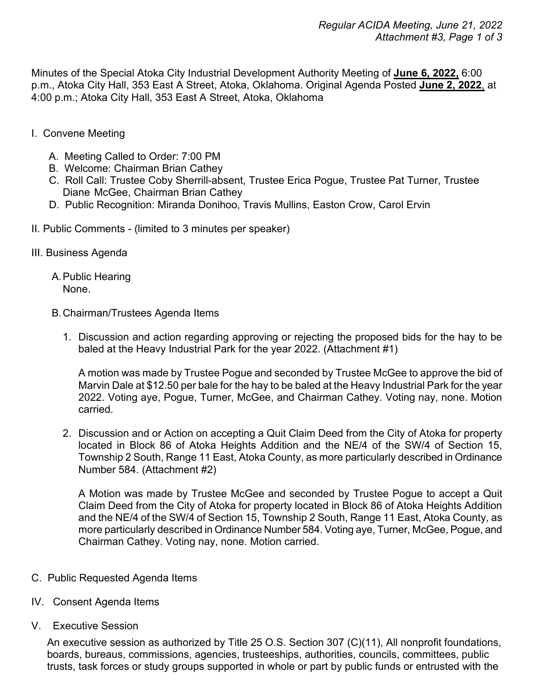Minutes of the Special Atoka City Industrial Development Authority Meeting of **June 6, 2022,** 6:00 p.m., Atoka City Hall, 353 East A Street, Atoka, Oklahoma. Original Agenda Posted **June 2, 2022**, at 4:00 p.m.; Atoka City Hall, 353 East A Street, Atoka, Oklahoma

- I. Convene Meeting
	- A. Meeting Called to Order: 7:00 PM
	- B. Welcome: Chairman Brian Cathey
	- C. Roll Call: Trustee Coby Sherrill-absent, Trustee Erica Pogue, Trustee Pat Turner, Trustee Diane McGee, Chairman Brian Cathey
	- D. Public Recognition: Miranda Donihoo, Travis Mullins, Easton Crow, Carol Ervin
- II. Public Comments (limited to 3 minutes per speaker)
- III. Business Agenda
	- A.Public Hearing None.
	- B.Chairman/Trustees Agenda Items
		- 1. Discussion and action regarding approving or rejecting the proposed bids for the hay to be baled at the Heavy Industrial Park for the year 2022. (Attachment #1)

A motion was made by Trustee Pogue and seconded by Trustee McGee to approve the bid of Marvin Dale at \$12.50 per bale for the hay to be baled at the Heavy Industrial Park for the year 2022. Voting aye, Pogue, Turner, McGee, and Chairman Cathey. Voting nay, none. Motion carried.

2. Discussion and or Action on accepting a Quit Claim Deed from the City of Atoka for property located in Block 86 of Atoka Heights Addition and the NE/4 of the SW/4 of Section 15, Township 2 South, Range 11 East, Atoka County, as more particularly described in Ordinance Number 584. (Attachment #2)

A Motion was made by Trustee McGee and seconded by Trustee Pogue to accept a Quit Claim Deed from the City of Atoka for property located in Block 86 of Atoka Heights Addition and the NE/4 of the SW/4 of Section 15, Township 2 South, Range 11 East, Atoka County, as more particularly described in Ordinance Number 584. Voting aye, Turner, McGee, Pogue, and Chairman Cathey. Voting nay, none. Motion carried.

- C. Public Requested Agenda Items
- IV. Consent Agenda Items
- V. Executive Session

An executive session as authorized by Title 25 O.S. Section 307 (C)(11), All nonprofit foundations, boards, bureaus, commissions, agencies, trusteeships, authorities, councils, committees, public trusts, task forces or study groups supported in whole or part by public funds or entrusted with the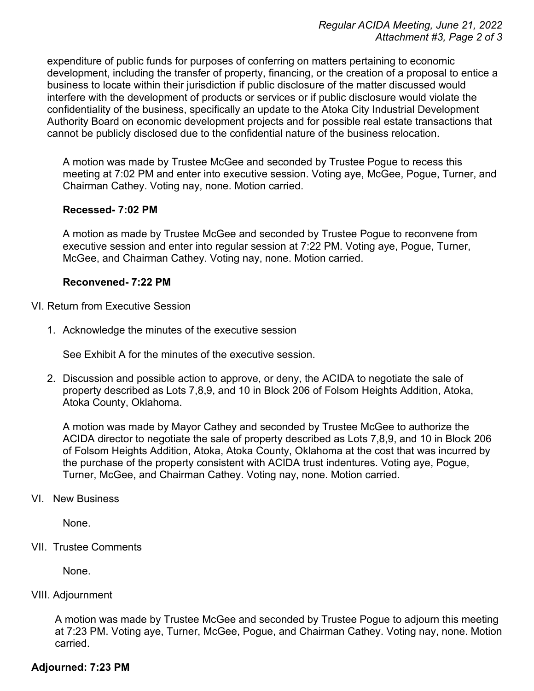expenditure of public funds for purposes of conferring on matters pertaining to economic development, including the transfer of property, financing, or the creation of a proposal to entice a business to locate within their jurisdiction if public disclosure of the matter discussed would interfere with the development of products or services or if public disclosure would violate the confidentiality of the business, specifically an update to the Atoka City Industrial Development Authority Board on economic development projects and for possible real estate transactions that cannot be publicly disclosed due to the confidential nature of the business relocation.

A motion was made by Trustee McGee and seconded by Trustee Pogue to recess this meeting at 7:02 PM and enter into executive session. Voting aye, McGee, Pogue, Turner, and Chairman Cathey. Voting nay, none. Motion carried.

# **Recessed- 7:02 PM**

A motion as made by Trustee McGee and seconded by Trustee Pogue to reconvene from executive session and enter into regular session at 7:22 PM. Voting aye, Pogue, Turner, McGee, and Chairman Cathey. Voting nay, none. Motion carried.

## **Reconvened- 7:22 PM**

VI. Return from Executive Session

1. Acknowledge the minutes of the executive session

See Exhibit A for the minutes of the executive session.

2. Discussion and possible action to approve, or deny, the ACIDA to negotiate the sale of property described as Lots 7,8,9, and 10 in Block 206 of Folsom Heights Addition, Atoka, Atoka County, Oklahoma.

A motion was made by Mayor Cathey and seconded by Trustee McGee to authorize the ACIDA director to negotiate the sale of property described as Lots 7,8,9, and 10 in Block 206 of Folsom Heights Addition, Atoka, Atoka County, Oklahoma at the cost that was incurred by the purchase of the property consistent with ACIDA trust indentures. Voting aye, Pogue, Turner, McGee, and Chairman Cathey. Voting nay, none. Motion carried.

### VI. New Business

None.

VII. Trustee Comments

None.

# VIII. Adjournment

A motion was made by Trustee McGee and seconded by Trustee Pogue to adjourn this meeting at 7:23 PM. Voting aye, Turner, McGee, Pogue, and Chairman Cathey. Voting nay, none. Motion carried.

# **Adjourned: 7:23 PM**